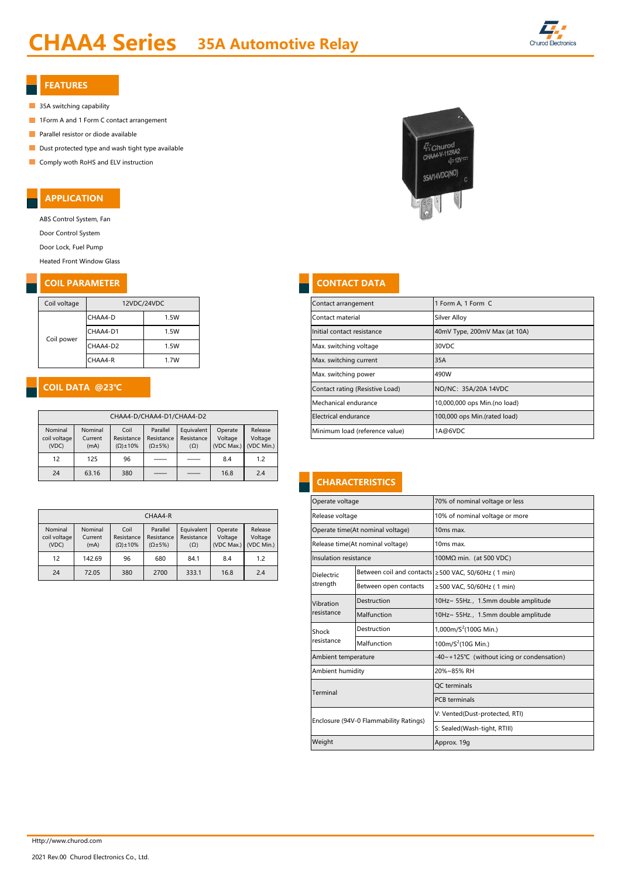## CHAA4 Series 35A Automotive Relay



## FEATURES

- 35A switching capability
- **1Form A and 1 Form C contact arrangement**
- $\overline{\phantom{a}}$ Parallel resistor or diode available
- $\Box$  Dust protected type and wash tight type available
- **Comply woth RoHS and ELV instruction**

## APPLICATION

ABS Control System, Fan

Door Control System

Door Lock, Fuel Pump

Heated Front Window Glass

## **COIL PARAMETER CONTACT DATA**

| Coil voltage | 12VDC/24VDC |      |  |  |  |  |
|--------------|-------------|------|--|--|--|--|
|              | CHAA4-D     | 1.5W |  |  |  |  |
|              | CHAA4-D1    | 1.5W |  |  |  |  |
| Coil power   | CHAA4-D2    | 1.5W |  |  |  |  |
|              | CHAA4-R     | 1.7W |  |  |  |  |

## COIL DATA @23℃

| CHAA4-D/CHAA4-D1/CHAA4-D2        |                            |                                           |                                              |                                        |                    |                                             |  |  |  |
|----------------------------------|----------------------------|-------------------------------------------|----------------------------------------------|----------------------------------------|--------------------|---------------------------------------------|--|--|--|
| Nominal<br>coil voltage<br>(VDC) | Nominal<br>Current<br>(mA) | Coil<br>Resistance<br>$(\Omega) \pm 10\%$ | Parallel<br>Resistance<br>$(\Omega \pm 5\%)$ | Equivalent<br>Resistance<br>$(\Omega)$ | Operate<br>Voltage | Release<br>Voltage<br>(VDC Max.) (VDC Min.) |  |  |  |
| 12                               | 125                        | 96                                        |                                              |                                        | 8.4                | 1.2                                         |  |  |  |
| 24                               | 63.16                      | 380                                       |                                              |                                        | 16.8               | 2.4                                         |  |  |  |

|  | CHAA4-R                 |                    |                     |                        |                          |         |                                                        |  | Release voltage       |                                  | 10% of nominal voltage or                           |
|--|-------------------------|--------------------|---------------------|------------------------|--------------------------|---------|--------------------------------------------------------|--|-----------------------|----------------------------------|-----------------------------------------------------|
|  | Nominal<br>coil voltage | Nominal<br>Current | Coil<br>Resistance  | Parallel<br>Resistance | Equivalent<br>Resistance | Operate | Release<br>Voltage<br>Voltage<br>(VDC Max.) (VDC Min.) |  |                       | Operate time(At nominal voltage) | 10 <sub>ms</sub> max.                               |
|  | (VDC)                   | (mA)               | $(\Omega) \pm 10\%$ | $(\Omega \pm 5\%)$     | $(\Omega)$               |         |                                                        |  |                       | Release time(At nominal voltage) | 10 <sub>ms</sub> max.                               |
|  | 12                      | 142.69             | 96                  | 680                    | 84.1                     | 8.4     | 1.2                                                    |  | Insulation resistance |                                  | 100MΩ min. (at 500 VDC)                             |
|  | 24                      | 72.05              | 380                 | 2700                   | 333.1                    | 16.8    | 2.4                                                    |  | <b>Dielectric</b>     |                                  | Between coil and contacts ≥500 VAC, 50/60Hz (1 min) |

# $\frac{C}{4}$  Churod<br>CHAA4-V-112RA2  $\approx 12V$ 35A/14VDC(NO)

| Coil voltage              |              | 12VDC/24VDC |                                              |                      | Contact arrangement             | 1 Form A, 1 Form C          |                                |                               |  |  |
|---------------------------|--------------|-------------|----------------------------------------------|----------------------|---------------------------------|-----------------------------|--------------------------------|-------------------------------|--|--|
|                           | CHAA4-D      |             | 1.5W                                         |                      |                                 |                             | Contact material               | Silver Alloy                  |  |  |
| Coil power                | CHAA4-D1     |             | 1.5W                                         |                      |                                 |                             | Initial contact resistance     | 40mV Type, 200mV Max (at 10A) |  |  |
|                           | CHAA4-D2     |             | 1.5W                                         |                      |                                 |                             | Max. switching voltage         | 30VDC                         |  |  |
|                           | CHAA4-R      |             | 1.7W                                         |                      |                                 |                             | Max. switching current         | 35A                           |  |  |
|                           |              |             |                                              |                      |                                 |                             | Max. switching power           | 490W                          |  |  |
|                           |              |             |                                              |                      | Contact rating (Resistive Load) | NO/NC: 35A/20A 14VDC        |                                |                               |  |  |
|                           |              |             |                                              | Mechanical endurance | 10,000,000 ops Min.(no load)    |                             |                                |                               |  |  |
| CHAA4-D/CHAA4-D1/CHAA4-D2 |              |             |                                              | Electrical endurance | 100,000 ops Min.(rated load)    |                             |                                |                               |  |  |
| Nominal<br>oil voltage    | Nominal<br>C | Coil        | Parallel<br>Pocictonce Pocictonce Pocictonce | Equivalent           | Operate<br>$\left  \right $     | Release<br>$\left  \right $ | Minimum load (reference value) | 1A@6VDC                       |  |  |

## **CHARACTERISTICS**

|                        |                          |                    |                    |                                | Operate voltage       |                                        | 70% of nominal voltage or less                      |  |  |
|------------------------|--------------------------|--------------------|--------------------|--------------------------------|-----------------------|----------------------------------------|-----------------------------------------------------|--|--|
| CHAA4-R                |                          |                    |                    | Release voltage                |                       | 10% of nominal voltage or more         |                                                     |  |  |
| Parallel<br>Resistance | Equivalent<br>Resistance | Operate<br>Voltage | Release<br>Voltage |                                |                       | Operate time(At nominal voltage)       | 10ms max.                                           |  |  |
| $(\Omega \pm 5\%)$     | $(\Omega)$               | (VDC Max.)         | (VDC Min.)         |                                |                       | Release time(At nominal voltage)       | 10ms max.                                           |  |  |
| 680                    | 84.1                     | 8.4                | 1.2                |                                | Insulation resistance |                                        | 100M $\Omega$ min. (at 500 VDC)                     |  |  |
| 2700                   | 333.1                    | 16.8               | 2.4                |                                | <b>Dielectric</b>     |                                        | Between coil and contacts ≥500 VAC, 50/60Hz (1 min) |  |  |
|                        |                          |                    |                    |                                | strength              | Between open contacts                  | ≥500 VAC, 50/60Hz (1 min)                           |  |  |
|                        |                          |                    |                    |                                | Vibration             | Destruction                            | 10Hz~ 55Hz., 1.5mm double amplitude                 |  |  |
|                        |                          |                    |                    |                                | resistance            | Malfunction                            | 10Hz~ 55Hz., 1.5mm double amplitude                 |  |  |
|                        |                          |                    |                    |                                | Shock                 | Destruction                            | 1,000m/ $S^2$ (100G Min.)                           |  |  |
|                        |                          |                    |                    |                                | resistance            | Malfunction                            | 100m/ $S^2$ (10G Min.)                              |  |  |
|                        |                          |                    |                    |                                | Ambient temperature   |                                        | -40~+125°C (without icing or condensation)          |  |  |
|                        |                          |                    |                    |                                | Ambient humidity      |                                        | 20%~85% RH                                          |  |  |
|                        |                          |                    |                    |                                | Terminal              |                                        | <b>OC</b> terminals                                 |  |  |
|                        |                          |                    |                    |                                |                       |                                        | <b>PCB</b> terminals                                |  |  |
|                        |                          |                    |                    | V: Vented(Dust-protected, RTI) |                       |                                        |                                                     |  |  |
|                        |                          |                    |                    |                                |                       | Enclosure (94V-0 Flammability Ratings) | S: Sealed(Wash-tight, RTIII)                        |  |  |
|                        |                          |                    |                    |                                | Weight                |                                        | Approx. 19g                                         |  |  |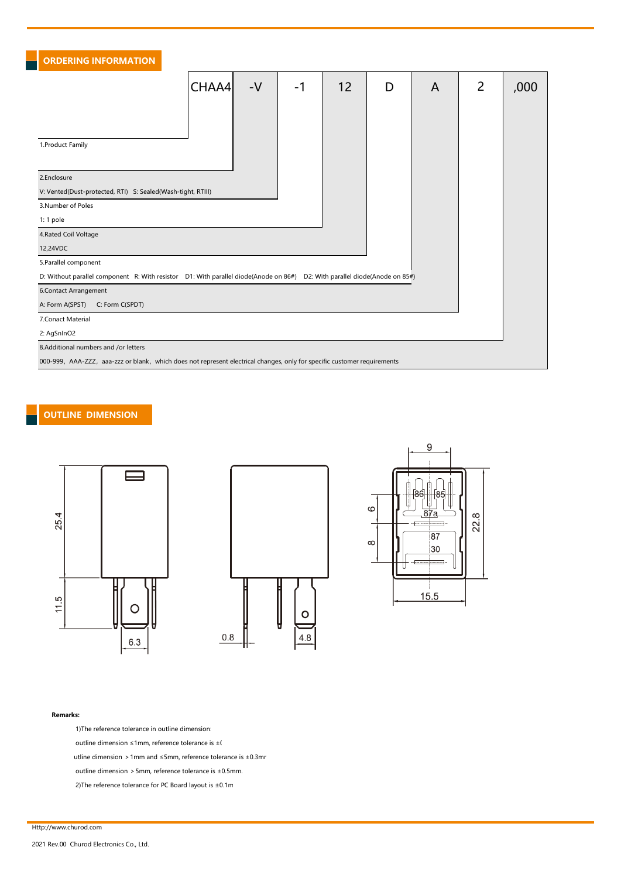| <b>ORDERING INFORMATION</b>                                                                                                |       |      |      |    |   |                |   |      |  |  |  |  |
|----------------------------------------------------------------------------------------------------------------------------|-------|------|------|----|---|----------------|---|------|--|--|--|--|
|                                                                                                                            | CHAA4 | $-V$ | $-1$ | 12 | D | $\overline{A}$ | 2 | ,000 |  |  |  |  |
|                                                                                                                            |       |      |      |    |   |                |   |      |  |  |  |  |
|                                                                                                                            |       |      |      |    |   |                |   |      |  |  |  |  |
| 1. Product Family                                                                                                          |       |      |      |    |   |                |   |      |  |  |  |  |
| 2.Enclosure                                                                                                                |       |      |      |    |   |                |   |      |  |  |  |  |
| V: Vented(Dust-protected, RTI) S: Sealed(Wash-tight, RTIII)                                                                |       |      |      |    |   |                |   |      |  |  |  |  |
| 3.Number of Poles                                                                                                          |       |      |      |    |   |                |   |      |  |  |  |  |
| 1: 1 pole                                                                                                                  |       |      |      |    |   |                |   |      |  |  |  |  |
| 4. Rated Coil Voltage                                                                                                      |       |      |      |    |   |                |   |      |  |  |  |  |
| 12,24VDC                                                                                                                   |       |      |      |    |   |                |   |      |  |  |  |  |
| 5. Parallel component                                                                                                      |       |      |      |    |   |                |   |      |  |  |  |  |
| D: Without parallel component R: With resistor D1: With parallel diode(Anode on 86#) D2: With parallel diode(Anode on 85#) |       |      |      |    |   |                |   |      |  |  |  |  |
| 6.Contact Arrangement                                                                                                      |       |      |      |    |   |                |   |      |  |  |  |  |
| A: Form A(SPST)<br>C: Form C(SPDT)                                                                                         |       |      |      |    |   |                |   |      |  |  |  |  |
| 7. Conact Material                                                                                                         |       |      |      |    |   |                |   |      |  |  |  |  |
| 2: AgSnInO2                                                                                                                |       |      |      |    |   |                |   |      |  |  |  |  |
| 8.Additional numbers and /or letters                                                                                       |       |      |      |    |   |                |   |      |  |  |  |  |
| 000-999, AAA-ZZZ, aaa-zzz or blank, which does not represent electrical changes, only for specific customer requirements   |       |      |      |    |   |                |   |      |  |  |  |  |

## OUTLINE DIMENSION







### Remarks:

1)The reference tolerance in outline dimension:

outline dimension ≤1mm, reference tolerance is  $±0$ .

utline dimension >1mm and ≤5mm, reference tolerance is ±0.3mn

outline dimension >5mm, reference tolerance is ±0.5mm.

2)The reference tolerance for PC Board layout is  $\pm 0.1$ m.